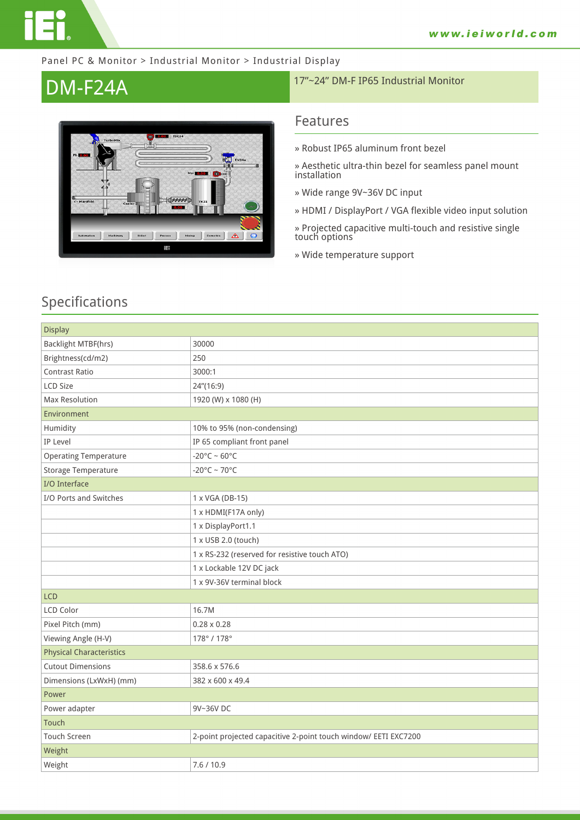

#### Panel PC & Monitor > Industrial Monitor > Industrial Display



# **DM-F24A** 17"~24" DM-F IP65 Industrial Monitor

### **Features**

- **» Robust IP65 aluminum front bezel**
- **» Aesthetic ultra-thin bezel for seamless panel mount installation**
- **» Wide range 9V~36V DC input**
- **» HDMI / DisplayPort / VGA flexible video input solution**

**» Projected capacitive multi-touch and resistive single touch options**

**» Wide temperature support**

### **Specifications**

| <b>Display</b>                  |                                                                 |  |
|---------------------------------|-----------------------------------------------------------------|--|
| Backlight MTBF(hrs)             | 30000                                                           |  |
| Brightness(cd/m2)               | 250                                                             |  |
| <b>Contrast Ratio</b>           | 3000:1                                                          |  |
| <b>LCD Size</b>                 | 24"(16:9)                                                       |  |
| Max Resolution                  | 1920 (W) x 1080 (H)                                             |  |
| Environment                     |                                                                 |  |
| Humidity                        | 10% to 95% (non-condensing)                                     |  |
| IP Level                        | IP 65 compliant front panel                                     |  |
| <b>Operating Temperature</b>    | $-20^{\circ}$ C ~ 60°C                                          |  |
| Storage Temperature             | $-20^{\circ}$ C ~ 70 $^{\circ}$ C                               |  |
| I/O Interface                   |                                                                 |  |
| I/O Ports and Switches          | 1 x VGA (DB-15)                                                 |  |
|                                 | 1 x HDMI(F17A only)                                             |  |
|                                 | 1 x DisplayPort1.1                                              |  |
|                                 | 1 x USB 2.0 (touch)                                             |  |
|                                 | 1 x RS-232 (reserved for resistive touch ATO)                   |  |
|                                 | 1 x Lockable 12V DC jack                                        |  |
|                                 | 1 x 9V-36V terminal block                                       |  |
| <b>LCD</b>                      |                                                                 |  |
| <b>LCD Color</b>                | 16.7M                                                           |  |
| Pixel Pitch (mm)                | $0.28 \times 0.28$                                              |  |
| Viewing Angle (H-V)             | 178°/178°                                                       |  |
| <b>Physical Characteristics</b> |                                                                 |  |
| <b>Cutout Dimensions</b>        | 358.6 x 576.6                                                   |  |
| Dimensions (LxWxH) (mm)         | 382 x 600 x 49.4                                                |  |
| Power                           |                                                                 |  |
| Power adapter                   | 9V~36V DC                                                       |  |
| Touch                           |                                                                 |  |
| <b>Touch Screen</b>             | 2-point projected capacitive 2-point touch window/ EETI EXC7200 |  |
| Weight                          |                                                                 |  |
| Weight                          | 7.6 / 10.9                                                      |  |